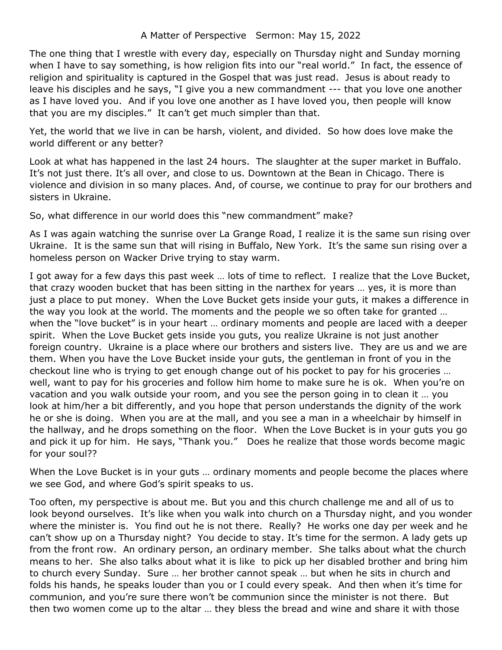The one thing that I wrestle with every day, especially on Thursday night and Sunday morning when I have to say something, is how religion fits into our "real world." In fact, the essence of religion and spirituality is captured in the Gospel that was just read. Jesus is about ready to leave his disciples and he says, "I give you a new commandment --- that you love one another as I have loved you. And if you love one another as I have loved you, then people will know that you are my disciples." It can't get much simpler than that.

Yet, the world that we live in can be harsh, violent, and divided. So how does love make the world different or any better?

Look at what has happened in the last 24 hours. The slaughter at the super market in Buffalo. It's not just there. It's all over, and close to us. Downtown at the Bean in Chicago. There is violence and division in so many places. And, of course, we continue to pray for our brothers and sisters in Ukraine.

So, what difference in our world does this "new commandment" make?

As I was again watching the sunrise over La Grange Road, I realize it is the same sun rising over Ukraine. It is the same sun that will rising in Buffalo, New York. It's the same sun rising over a homeless person on Wacker Drive trying to stay warm.

I got away for a few days this past week … lots of time to reflect. I realize that the Love Bucket, that crazy wooden bucket that has been sitting in the narthex for years … yes, it is more than just a place to put money. When the Love Bucket gets inside your guts, it makes a difference in the way you look at the world. The moments and the people we so often take for granted … when the "love bucket" is in your heart … ordinary moments and people are laced with a deeper spirit. When the Love Bucket gets inside you guts, you realize Ukraine is not just another foreign country. Ukraine is a place where our brothers and sisters live. They are us and we are them. When you have the Love Bucket inside your guts, the gentleman in front of you in the checkout line who is trying to get enough change out of his pocket to pay for his groceries … well, want to pay for his groceries and follow him home to make sure he is ok. When you're on vacation and you walk outside your room, and you see the person going in to clean it … you look at him/her a bit differently, and you hope that person understands the dignity of the work he or she is doing. When you are at the mall, and you see a man in a wheelchair by himself in the hallway, and he drops something on the floor. When the Love Bucket is in your guts you go and pick it up for him. He says, "Thank you." Does he realize that those words become magic for your soul??

When the Love Bucket is in your guts … ordinary moments and people become the places where we see God, and where God's spirit speaks to us.

Too often, my perspective is about me. But you and this church challenge me and all of us to look beyond ourselves. It's like when you walk into church on a Thursday night, and you wonder where the minister is. You find out he is not there. Really? He works one day per week and he can't show up on a Thursday night? You decide to stay. It's time for the sermon. A lady gets up from the front row. An ordinary person, an ordinary member. She talks about what the church means to her. She also talks about what it is like to pick up her disabled brother and bring him to church every Sunday. Sure … her brother cannot speak … but when he sits in church and folds his hands, he speaks louder than you or I could every speak. And then when it's time for communion, and you're sure there won't be communion since the minister is not there. But then two women come up to the altar … they bless the bread and wine and share it with those